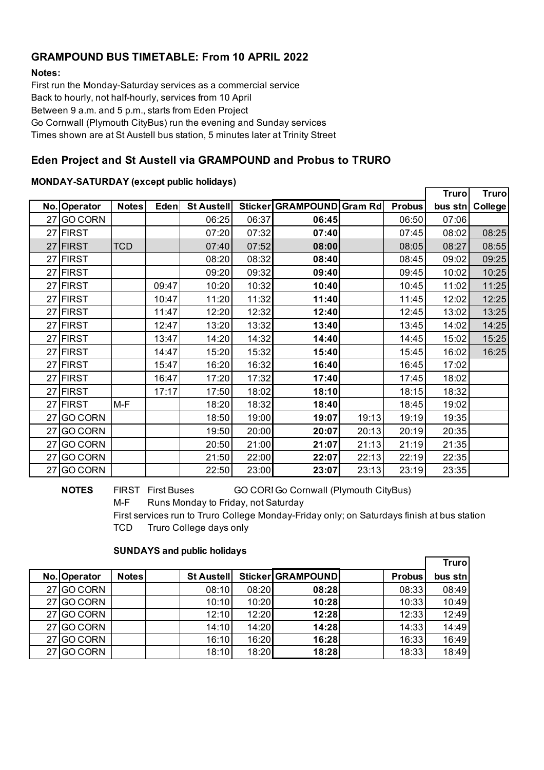# **GRAMPOUND BUS TIMETABLE: From 10 APRIL 2022**

### **Notes:**

First run the Monday-Saturday services as a commercial service Back to hourly, not half-hourly, services from 10 April Between 9 a.m. and 5 p.m., starts from Eden Project Go Cornwall (Plymouth CityBus) run the evening and Sunday services Times shown are at St Austell bus station, 5 minutes later at Trinity Street

# **Eden Project and St Austell via GRAMPOUND and Probus to TRURO**

## **MONDAY-SATURDAY (except public holidays)**

|    |                |              |       |            |       |                           |       |               | <b>Truro</b> | <b>Truro</b> |
|----|----------------|--------------|-------|------------|-------|---------------------------|-------|---------------|--------------|--------------|
|    | No. Operator   | <b>Notes</b> | Eden  | St Austell |       | Sticker GRAMPOUND Gram Rd |       | <b>Probus</b> | bus stn      | College      |
| 27 | <b>GO CORN</b> |              |       | 06:25      | 06:37 | 06:45                     |       | 06:50         | 07:06        |              |
| 27 | <b>FIRST</b>   |              |       | 07:20      | 07:32 | 07:40                     |       | 07:45         | 08:02        | 08:25        |
| 27 | <b>FIRST</b>   | <b>TCD</b>   |       | 07:40      | 07:52 | 08:00                     |       | 08:05         | 08:27        | 08:55        |
| 27 | <b>FIRST</b>   |              |       | 08:20      | 08:32 | 08:40                     |       | 08:45         | 09:02        | 09:25        |
|    | 27 FIRST       |              |       | 09:20      | 09:32 | 09:40                     |       | 09:45         | 10:02        | 10:25        |
| 27 | <b>FIRST</b>   |              | 09:47 | 10:20      | 10:32 | 10:40                     |       | 10:45         | 11:02        | 11:25        |
|    | 27 FIRST       |              | 10:47 | 11:20      | 11:32 | 11:40                     |       | 11:45         | 12:02        | 12:25        |
| 27 | <b>FIRST</b>   |              | 11:47 | 12:20      | 12:32 | 12:40                     |       | 12:45         | 13:02        | 13:25        |
| 27 | <b>FIRST</b>   |              | 12:47 | 13:20      | 13:32 | 13:40                     |       | 13:45         | 14:02        | 14:25        |
| 27 | <b>FIRST</b>   |              | 13:47 | 14:20      | 14:32 | 14:40                     |       | 14:45         | 15:02        | 15:25        |
| 27 | <b>FIRST</b>   |              | 14:47 | 15:20      | 15:32 | 15:40                     |       | 15:45         | 16:02        | 16:25        |
|    | 27 FIRST       |              | 15:47 | 16:20      | 16:32 | 16:40                     |       | 16:45         | 17:02        |              |
| 27 | <b>FIRST</b>   |              | 16:47 | 17:20      | 17:32 | 17:40                     |       | 17:45         | 18:02        |              |
| 27 | <b>FIRST</b>   |              | 17:17 | 17:50      | 18:02 | 18:10                     |       | 18:15         | 18:32        |              |
| 27 | <b>FIRST</b>   | M-F          |       | 18:20      | 18:32 | 18:40                     |       | 18:45         | 19:02        |              |
| 27 | <b>GO CORN</b> |              |       | 18:50      | 19:00 | 19:07                     | 19:13 | 19:19         | 19:35        |              |
| 27 | <b>GO CORN</b> |              |       | 19:50      | 20:00 | 20:07                     | 20:13 | 20:19         | 20:35        |              |
| 27 | <b>GO CORN</b> |              |       | 20:50      | 21:00 | 21:07                     | 21:13 | 21:19         | 21:35        |              |
| 27 | <b>GO CORN</b> |              |       | 21:50      | 22:00 | 22:07                     | 22:13 | 22:19         | 22:35        |              |
| 27 | <b>GO CORN</b> |              |       | 22:50      | 23:00 | 23:07                     | 23:13 | 23:19         | 23:35        |              |

**NOTES** FIRST First Buses GO CORIGo Cornwall (Plymouth CityBus)

M-F Runs Monday to Friday, not Saturday

First services run to Truro College Monday-Friday only; on Saturdays finish at bus station TCD Truro College days only

### **SUNDAYS and public holidays**

|              |              |                   |       |                   |               | <b>Truro</b> |
|--------------|--------------|-------------------|-------|-------------------|---------------|--------------|
| No. Operator | <b>Notes</b> | <b>St Austell</b> |       | Sticker GRAMPOUND | <b>Probus</b> | bus stn      |
| 27 GO CORN   |              | 08:10             | 08:20 | 08:28             | 08:33         | 08:49        |
| 27 GO CORN   |              | 10:10             | 10:20 | 10:28             | 10:33         | 10:49        |
| 27 GO CORN   |              | 12:10             | 12:20 | 12:28             | 12:33         | 12:49        |
| 27 GO CORN   |              | 14:10             | 14:20 | 14:28             | 14:33         | 14:49        |
| 27 GO CORN   |              | 16:10             | 16:20 | 16:28             | 16:33         | 16:49        |
| 27 GO CORN   |              | 18:10             | 18:20 | 18:28             | 18:33         | 18:49        |